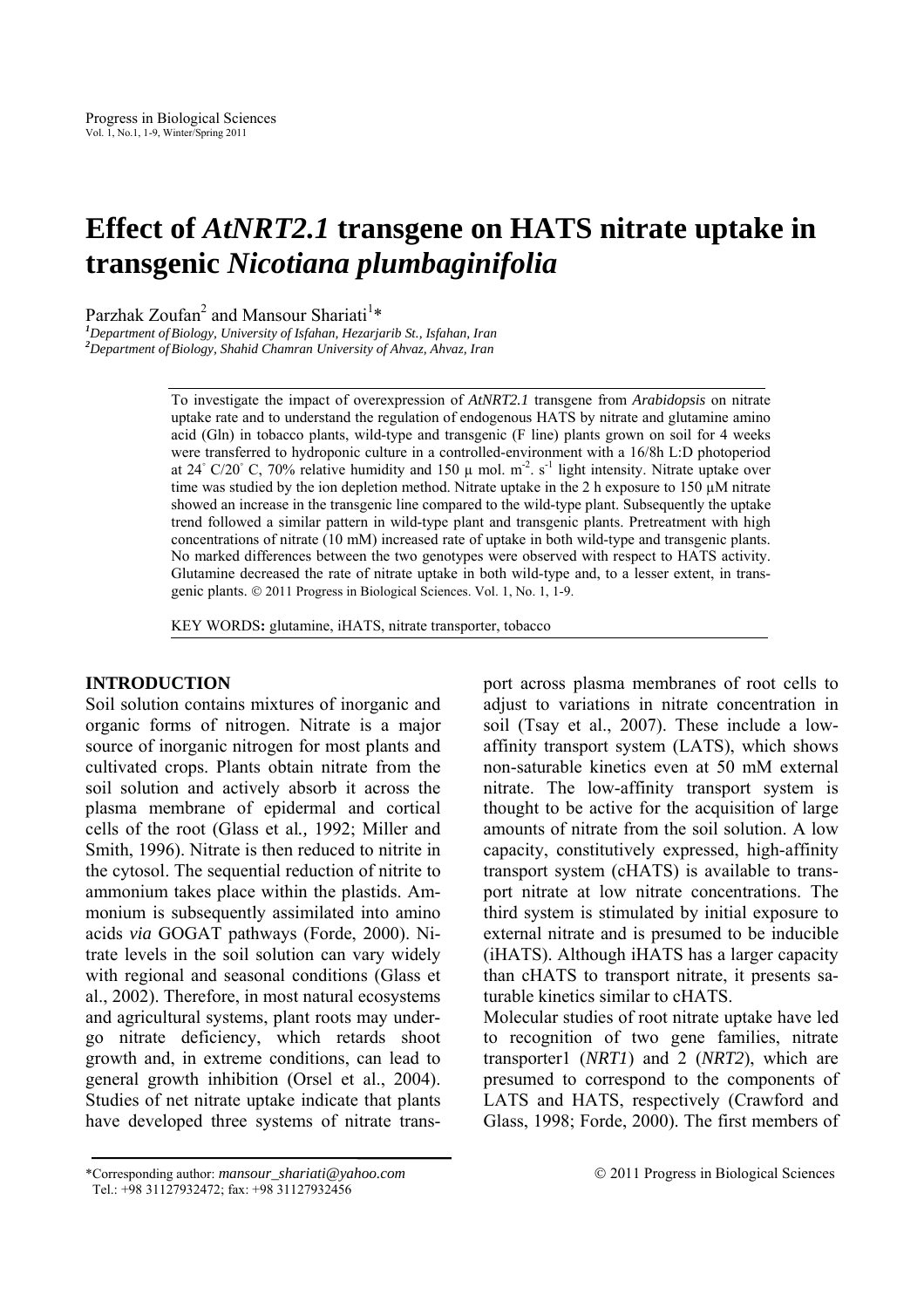# **Effect of** *AtNRT2.1* **transgene on HATS nitrate uptake in transgenic** *Nicotiana plumbaginifolia*

Parzhak Zoufan<sup>2</sup> and Mansour Shariati<sup>1\*</sup>

*Department of Biology, University of Isfahan, Hezarjarib St., Isfahan, Iran <sup>2</sup> Department of Biology, Shahid Chamran University of Ahvaz, Ahvaz, Iran* 

> To investigate the impact of overexpression of *AtNRT2.1* transgene from *Arabidopsis* on nitrate uptake rate and to understand the regulation of endogenous HATS by nitrate and glutamine amino acid (Gln) in tobacco plants, wild-type and transgenic (F line) plants grown on soil for 4 weeks were transferred to hydroponic culture in a controlled-environment with a 16/8h L:D photoperiod at 24 $\degree$  C/20 $\degree$  C, 70% relative humidity and 150  $\mu$  mol. m<sup>-2</sup>. s<sup>-1</sup> light intensity. Nitrate uptake over time was studied by the ion depletion method. Nitrate uptake in the 2 h exposure to 150 uM nitrate showed an increase in the transgenic line compared to the wild-type plant. Subsequently the uptake trend followed a similar pattern in wild-type plant and transgenic plants. Pretreatment with high concentrations of nitrate (10 mM) increased rate of uptake in both wild-type and transgenic plants. No marked differences between the two genotypes were observed with respect to HATS activity. Glutamine decreased the rate of nitrate uptake in both wild-type and, to a lesser extent, in transgenic plants. © 2011 Progress in Biological Sciences. Vol. 1, No. 1, 1-9.

KEY WORDS**:** glutamine, iHATS, nitrate transporter, tobacco

# **INTRODUCTION**

Soil solution contains mixtures of inorganic and organic forms of nitrogen. Nitrate is a major source of inorganic nitrogen for most plants and cultivated crops. Plants obtain nitrate from the soil solution and actively absorb it across the plasma membrane of epidermal and cortical cells of the root (Glass et al*.,* 1992; Miller and Smith, 1996). Nitrate is then reduced to nitrite in the cytosol. The sequential reduction of nitrite to ammonium takes place within the plastids. Ammonium is subsequently assimilated into amino acids *via* GOGAT pathways (Forde, 2000). Nitrate levels in the soil solution can vary widely with regional and seasonal conditions (Glass et al., 2002). Therefore, in most natural ecosystems and agricultural systems, plant roots may undergo nitrate deficiency, which retards shoot growth and, in extreme conditions, can lead to general growth inhibition (Orsel et al., 2004). Studies of net nitrate uptake indicate that plants have developed three systems of nitrate transport across plasma membranes of root cells to adjust to variations in nitrate concentration in soil (Tsay et al., 2007). These include a lowaffinity transport system (LATS), which shows non-saturable kinetics even at 50 mM external nitrate. The low-affinity transport system is thought to be active for the acquisition of large amounts of nitrate from the soil solution. A low capacity, constitutively expressed, high-affinity transport system (cHATS) is available to transport nitrate at low nitrate concentrations. The third system is stimulated by initial exposure to external nitrate and is presumed to be inducible (iHATS). Although iHATS has a larger capacity than cHATS to transport nitrate, it presents saturable kinetics similar to cHATS.

Molecular studies of root nitrate uptake have led to recognition of two gene families, nitrate transporter1 (*NRT1*) and 2 (*NRT2*), which are presumed to correspond to the components of LATS and HATS, respectively (Crawford and Glass, 1998; Forde, 2000). The first members of

<sup>\*</sup>Corresponding author: *mansour\_shariati@yahoo.com* © 2011 Progress in Biological Sciences Tel.: +98 31127932472; fax: +98 31127932456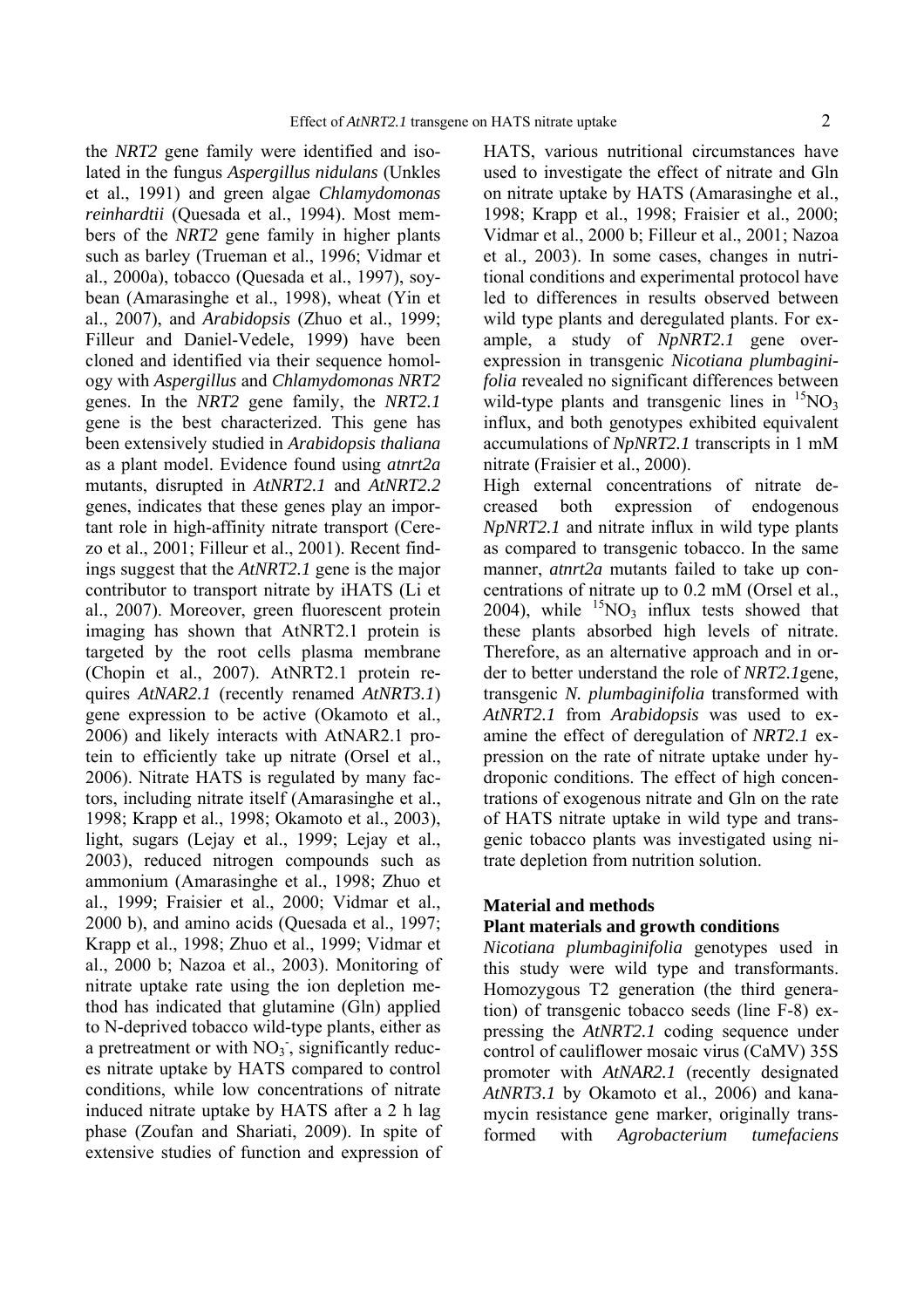the *NRT2* gene family were identified and isolated in the fungus *Aspergillus nidulans* (Unkles et al., 1991) and green algae *Chlamydomonas reinhardtii* (Quesada et al., 1994). Most members of the *NRT2* gene family in higher plants such as barley (Trueman et al., 1996; Vidmar et al., 2000a), tobacco (Quesada et al., 1997), soybean (Amarasinghe et al., 1998), wheat (Yin et al., 2007), and *Arabidopsis* (Zhuo et al., 1999; Filleur and Daniel-Vedele, 1999) have been cloned and identified via their sequence homology with *Aspergillus* and *Chlamydomonas NRT2* genes. In the *NRT2* gene family, the *NRT2.1* gene is the best characterized. This gene has been extensively studied in *Arabidopsis thaliana* as a plant model. Evidence found using *atnrt2a* mutants, disrupted in *AtNRT2.1* and *AtNRT2.2*  genes, indicates that these genes play an important role in high-affinity nitrate transport (Cerezo et al., 2001; Filleur et al., 2001). Recent findings suggest that the *AtNRT2.1* gene is the major contributor to transport nitrate by iHATS (Li et al., 2007). Moreover, green fluorescent protein imaging has shown that AtNRT2.1 protein is targeted by the root cells plasma membrane (Chopin et al., 2007). AtNRT2.1 protein requires *AtNAR2.1* (recently renamed *AtNRT3.1*) gene expression to be active (Okamoto et al., 2006) and likely interacts with AtNAR2.1 protein to efficiently take up nitrate (Orsel et al., 2006). Nitrate HATS is regulated by many factors, including nitrate itself (Amarasinghe et al., 1998; Krapp et al., 1998; Okamoto et al., 2003), light, sugars (Lejay et al., 1999; Lejay et al., 2003), reduced nitrogen compounds such as ammonium (Amarasinghe et al., 1998; Zhuo et al., 1999; Fraisier et al., 2000; Vidmar et al., 2000 b), and amino acids (Quesada et al., 1997; Krapp et al., 1998; Zhuo et al., 1999; Vidmar et al., 2000 b; Nazoa et al., 2003). Monitoring of nitrate uptake rate using the ion depletion method has indicated that glutamine (Gln) applied to N-deprived tobacco wild-type plants, either as a pretreatment or with  $NO<sub>3</sub>$ , significantly reduces nitrate uptake by HATS compared to control conditions, while low concentrations of nitrate induced nitrate uptake by HATS after a 2 h lag phase (Zoufan and Shariati, 2009). In spite of extensive studies of function and expression of

HATS, various nutritional circumstances have used to investigate the effect of nitrate and Gln on nitrate uptake by HATS (Amarasinghe et al., 1998; Krapp et al., 1998; Fraisier et al., 2000; Vidmar et al., 2000 b; Filleur et al., 2001; Nazoa et al.*,* 2003). In some cases, changes in nutritional conditions and experimental protocol have led to differences in results observed between wild type plants and deregulated plants. For example, a study of *NpNRT2.1* gene overexpression in transgenic *Nicotiana plumbaginifolia* revealed no significant differences between wild-type plants and transgenic lines in  ${}^{15}NO_3$ influx, and both genotypes exhibited equivalent accumulations of *NpNRT2.1* transcripts in 1 mM nitrate (Fraisier et al., 2000).

High external concentrations of nitrate decreased both expression of endogenous *NpNRT2.1* and nitrate influx in wild type plants as compared to transgenic tobacco. In the same manner, *atnrt2a* mutants failed to take up concentrations of nitrate up to 0.2 mM (Orsel et al., 2004), while  ${}^{15}NO_3$  influx tests showed that these plants absorbed high levels of nitrate. Therefore, as an alternative approach and in order to better understand the role of *NRT2.1*gene, transgenic *N. plumbaginifolia* transformed with *AtNRT2.1* from *Arabidopsis* was used to examine the effect of deregulation of *NRT2.1* expression on the rate of nitrate uptake under hydroponic conditions. The effect of high concentrations of exogenous nitrate and Gln on the rate of HATS nitrate uptake in wild type and transgenic tobacco plants was investigated using nitrate depletion from nutrition solution.

# **Material and methods Plant materials and growth conditions**

*Nicotiana plumbaginifolia* genotypes used in this study were wild type and transformants. Homozygous T2 generation (the third generation) of transgenic tobacco seeds (line F-8) expressing the *AtNRT2.1* coding sequence under control of cauliflower mosaic virus (CaMV) 35S promoter with *AtNAR2.1* (recently designated *AtNRT3.1* by Okamoto et al., 2006) and kanamycin resistance gene marker, originally transformed with *Agrobacterium tumefaciens*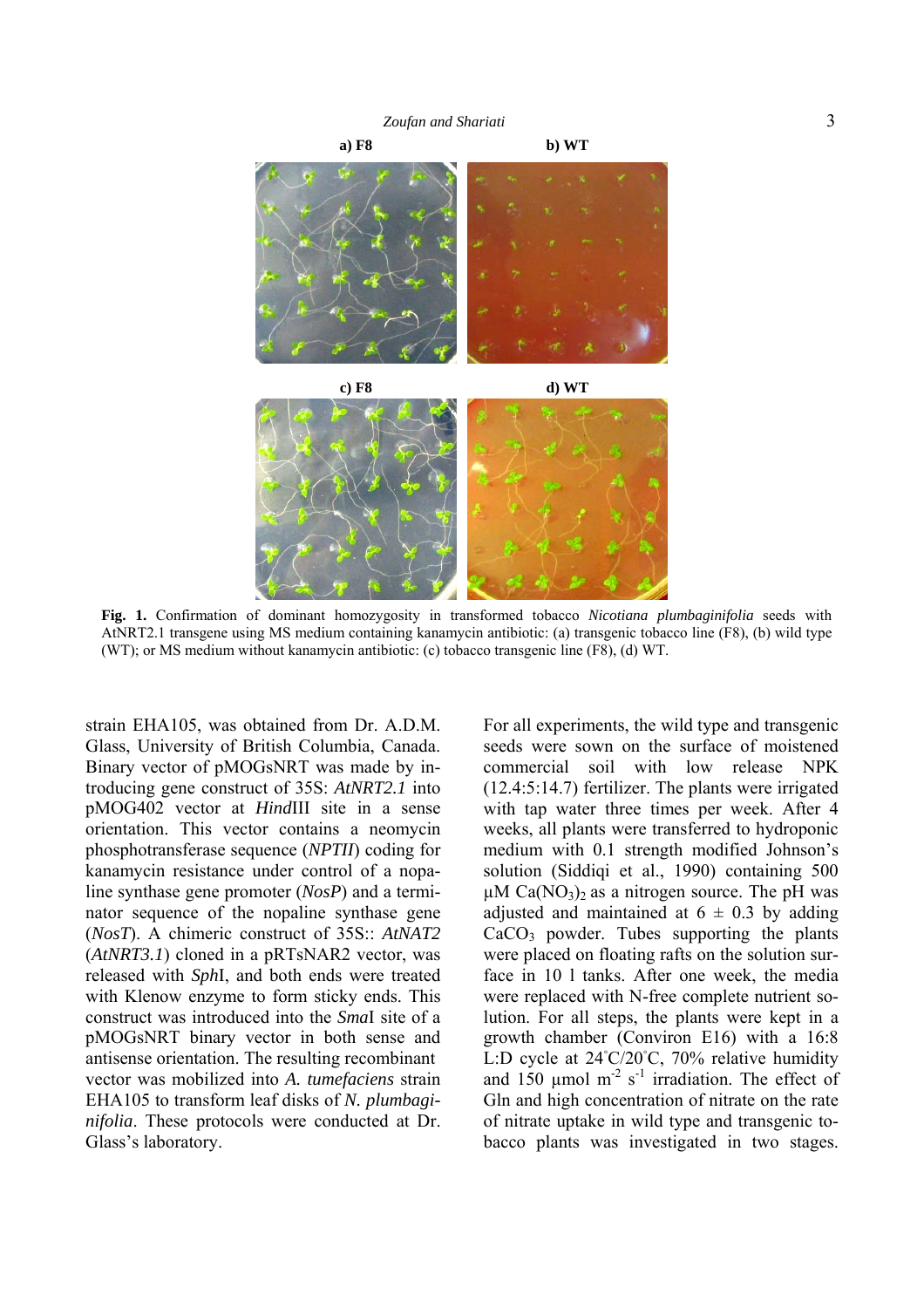*Zoufan and Shariati* 3



**Fig. 1.** Confirmation of dominant homozygosity in transformed tobacco *Nicotiana plumbaginifolia* seeds with AtNRT2.1 transgene using MS medium containing kanamycin antibiotic: (a) transgenic tobacco line (F8), (b) wild type (WT); or MS medium without kanamycin antibiotic: (c) tobacco transgenic line (F8), (d) WT.

strain EHA105, was obtained from Dr. A.D.M. Glass, University of British Columbia, Canada. Binary vector of pMOGsNRT was made by introducing gene construct of 35S: *AtNRT2.1* into pMOG402 vector at *Hind*III site in a sense orientation. This vector contains a neomycin phosphotransferase sequence (*NPTII*) coding for kanamycin resistance under control of a nopaline synthase gene promoter (*NosP*) and a terminator sequence of the nopaline synthase gene (*NosT*). A chimeric construct of 35S:: *AtNAT2* (*AtNRT3.1*) cloned in a pRTsNAR2 vector, was released with *Sph*I, and both ends were treated with Klenow enzyme to form sticky ends. This construct was introduced into the *Sma*I site of a pMOGsNRT binary vector in both sense and antisense orientation. The resulting recombinant vector was mobilized into *A. tumefaciens* strain EHA105 to transform leaf disks of *N. plumbaginifolia*. These protocols were conducted at Dr. Glass's laboratory.

For all experiments, the wild type and transgenic seeds were sown on the surface of moistened commercial soil with low release NPK (12.4:5:14.7) fertilizer. The plants were irrigated with tap water three times per week. After 4 weeks, all plants were transferred to hydroponic medium with 0.1 strength modified Johnson's solution (Siddiqi et al., 1990) containing 500  $\mu$ M Ca(NO<sub>3</sub>)<sub>2</sub> as a nitrogen source. The pH was adjusted and maintained at  $6 \pm 0.3$  by adding CaCO3 powder. Tubes supporting the plants were placed on floating rafts on the solution surface in 10 l tanks. After one week, the media were replaced with N-free complete nutrient solution. For all steps, the plants were kept in a growth chamber (Conviron E16) with a 16:8 L:D cycle at 24◦ C/20◦ C, 70% relative humidity and 150  $\mu$ mol m<sup>-2</sup> s<sup>-1</sup> irradiation. The effect of Gln and high concentration of nitrate on the rate of nitrate uptake in wild type and transgenic tobacco plants was investigated in two stages.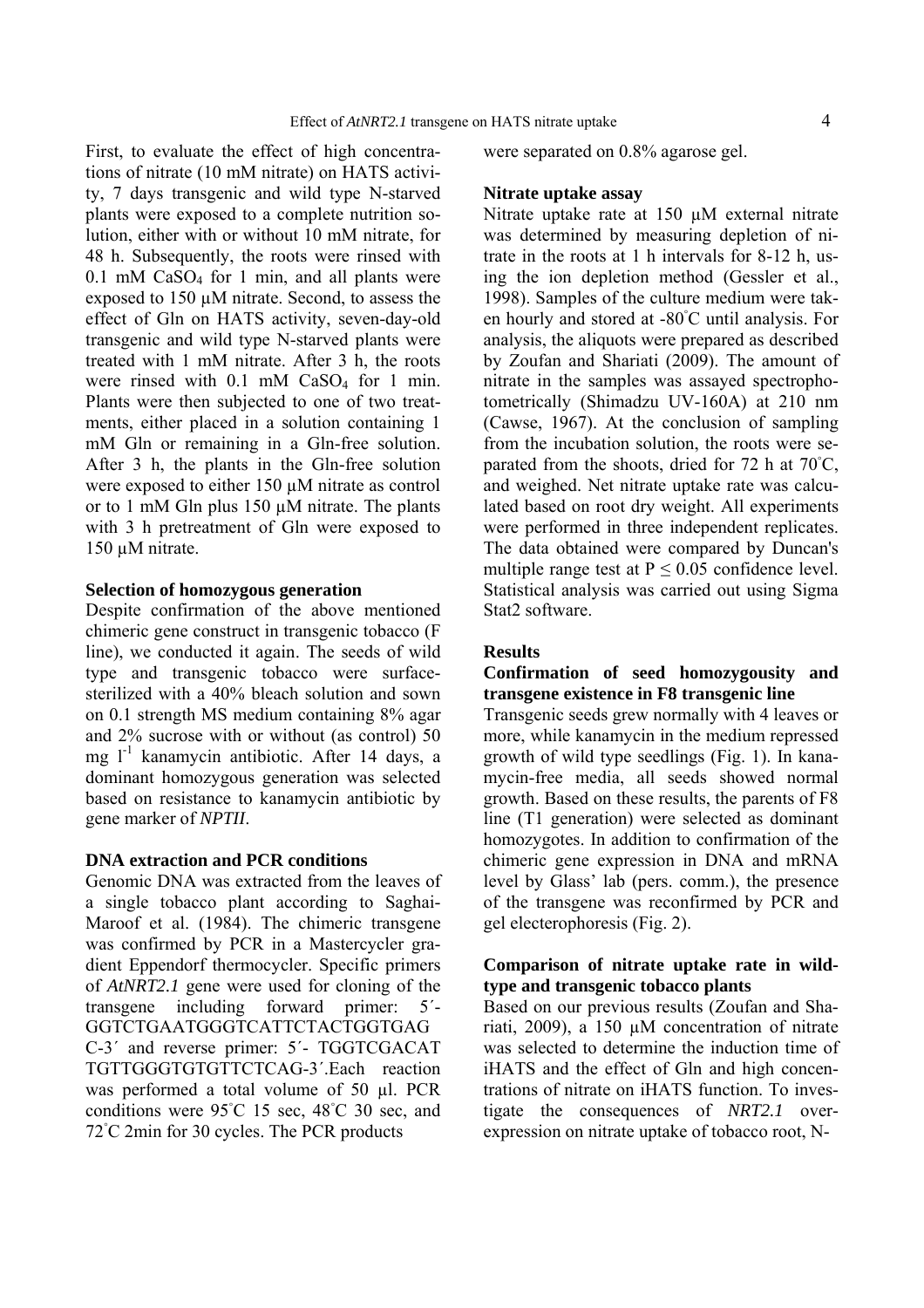First, to evaluate the effect of high concentrations of nitrate (10 mM nitrate) on HATS activity, 7 days transgenic and wild type N-starved plants were exposed to a complete nutrition solution, either with or without 10 mM nitrate, for 48 h. Subsequently, the roots were rinsed with  $0.1$  mM CaSO<sub>4</sub> for 1 min, and all plants were exposed to 150 µM nitrate. Second, to assess the effect of Gln on HATS activity, seven-day-old transgenic and wild type N-starved plants were treated with 1 mM nitrate. After 3 h, the roots were rinsed with 0.1 mM CaSO<sub>4</sub> for 1 min. Plants were then subjected to one of two treatments, either placed in a solution containing 1 mM Gln or remaining in a Gln-free solution. After 3 h, the plants in the Gln-free solution were exposed to either 150  $\mu$ M nitrate as control or to 1 mM Gln plus 150 µM nitrate. The plants with 3 h pretreatment of Gln were exposed to 150 µM nitrate.

#### **Selection of homozygous generation**

Despite confirmation of the above mentioned chimeric gene construct in transgenic tobacco (F line), we conducted it again. The seeds of wild type and transgenic tobacco were surfacesterilized with a 40% bleach solution and sown on 0.1 strength MS medium containing 8% agar and 2% sucrose with or without (as control) 50 mg  $l^{-1}$  kanamycin antibiotic. After 14 days, a dominant homozygous generation was selected based on resistance to kanamycin antibiotic by gene marker of *NPTII*.

#### **DNA extraction and PCR conditions**

Genomic DNA was extracted from the leaves of a single tobacco plant according to Saghai-Maroof et al. (1984). The chimeric transgene was confirmed by PCR in a Mastercycler gradient Eppendorf thermocycler. Specific primers of *AtNRT2.1* gene were used for cloning of the transgene including forward primer: 5´- GGTCTGAATGGGTCATTCTACTGGTGAG C-3´ and reverse primer: 5´- TGGTCGACAT TGTTGGGTGTGTTCTCAG-3´.Each reaction was performed a total volume of 50 µl. PCR conditions were 95℃ 15 sec, 48℃ 30 sec, and 72◦ C 2min for 30 cycles. The PCR products

were separated on 0.8% agarose gel.

#### **Nitrate uptake assay**

Nitrate uptake rate at 150 µM external nitrate was determined by measuring depletion of nitrate in the roots at 1 h intervals for 8-12 h, using the ion depletion method (Gessler et al., 1998). Samples of the culture medium were taken hourly and stored at -80◦ C until analysis. For analysis, the aliquots were prepared as described by Zoufan and Shariati (2009). The amount of nitrate in the samples was assayed spectrophotometrically (Shimadzu UV-160A) at 210 nm (Cawse, 1967). At the conclusion of sampling from the incubation solution, the roots were separated from the shoots, dried for 72 h at 70<sup>°</sup>C, and weighed. Net nitrate uptake rate was calculated based on root dry weight. All experiments were performed in three independent replicates. The data obtained were compared by Duncan's multiple range test at  $P \le 0.05$  confidence level. Statistical analysis was carried out using Sigma Stat2 software.

#### **Results**

## **Confirmation of seed homozygousity and transgene existence in F8 transgenic line**

Transgenic seeds grew normally with 4 leaves or more, while kanamycin in the medium repressed growth of wild type seedlings (Fig. 1). In kanamycin-free media, all seeds showed normal growth. Based on these results, the parents of F8 line (T1 generation) were selected as dominant homozygotes. In addition to confirmation of the chimeric gene expression in DNA and mRNA level by Glass' lab (pers. comm.), the presence of the transgene was reconfirmed by PCR and gel electerophoresis (Fig. 2).

## **Comparison of nitrate uptake rate in wildtype and transgenic tobacco plants**

Based on our previous results (Zoufan and Shariati, 2009), a 150 µM concentration of nitrate was selected to determine the induction time of iHATS and the effect of Gln and high concentrations of nitrate on iHATS function. To investigate the consequences of *NRT2.1* overexpression on nitrate uptake of tobacco root, N-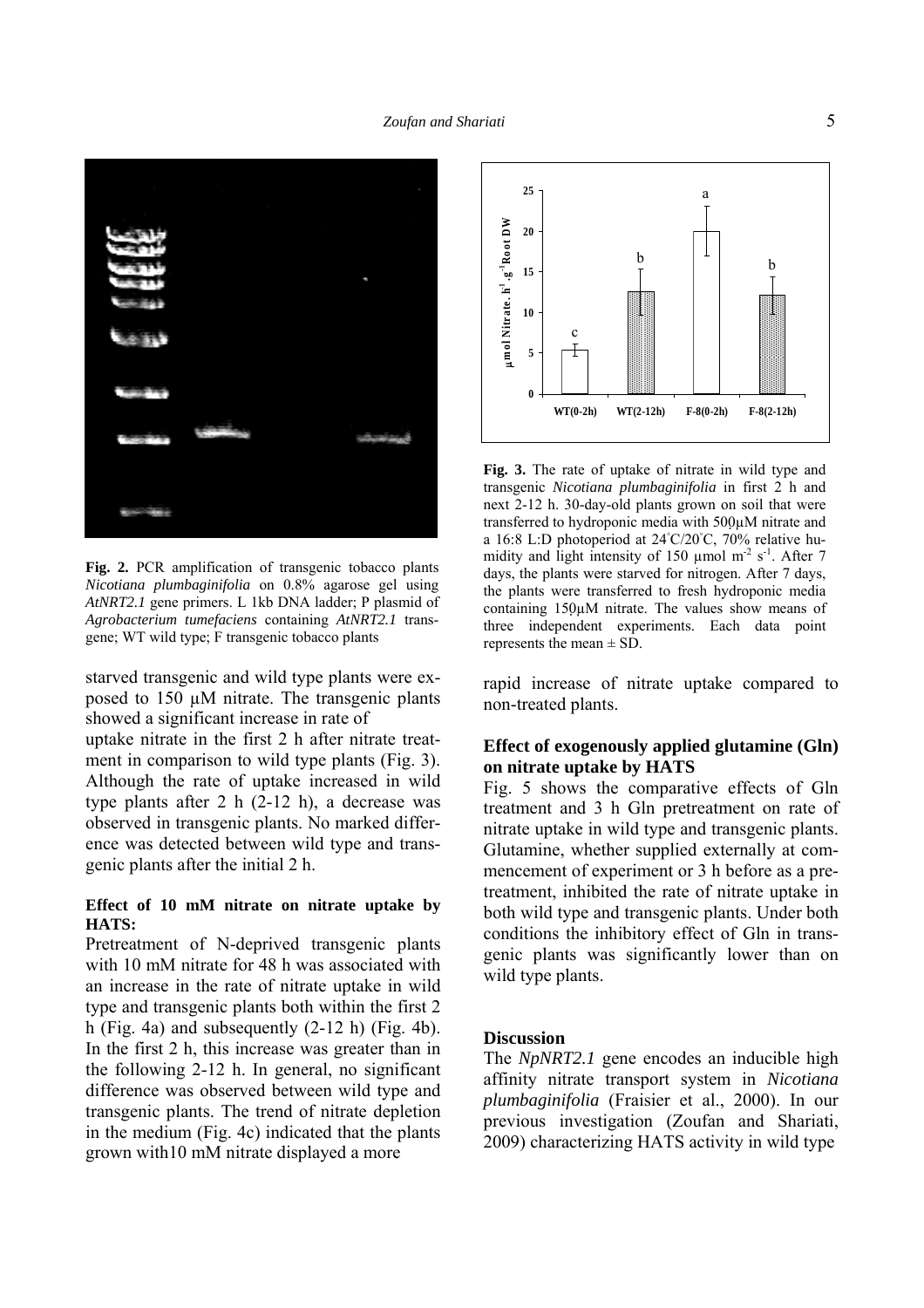

Fig. 2. PCR amplification of transgenic tobacco plants *Nicotiana plumbaginifolia* on 0.8% agarose gel using *AtNRT2.1* gene primers. L 1kb DNA ladder; P plasmid of *Agrobacterium tumefaciens* containing *AtNRT2.1* transgene; WT wild type; F transgenic tobacco plants

starved transgenic and wild type plants were exposed to 150 µM nitrate. The transgenic plants showed a significant increase in rate of

uptake nitrate in the first 2 h after nitrate treatment in comparison to wild type plants (Fig. 3). Although the rate of uptake increased in wild type plants after 2 h (2-12 h), a decrease was observed in transgenic plants. No marked difference was detected between wild type and transgenic plants after the initial 2 h.

#### **Effect of 10 mM nitrate on nitrate uptake by HATS:**

Pretreatment of N-deprived transgenic plants with 10 mM nitrate for 48 h was associated with an increase in the rate of nitrate uptake in wild type and transgenic plants both within the first 2 h (Fig. 4a) and subsequently  $(2-12 h)$  (Fig. 4b). In the first 2 h, this increase was greater than in the following 2-12 h. In general, no significant difference was observed between wild type and transgenic plants. The trend of nitrate depletion in the medium (Fig. 4c) indicated that the plants grown with10 mM nitrate displayed a more



**Fig. 3.** The rate of uptake of nitrate in wild type and transgenic *Nicotiana plumbaginifolia* in first 2 h and next 2-12 h. 30-day-old plants grown on soil that were transferred to hydroponic media with 500µM nitrate and a 16:8 L:D photoperiod at 24◦ C/20◦ C, 70% relative humidity and light intensity of 150  $\mu$ mol m<sup>-2</sup> s<sup>-1</sup>. After 7 days, the plants were starved for nitrogen. After 7 days, the plants were transferred to fresh hydroponic media containing 150µM nitrate. The values show means of three independent experiments. Each data point represents the mean  $\pm$  SD.

rapid increase of nitrate uptake compared to non-treated plants.

# **Effect of exogenously applied glutamine (Gln) on nitrate uptake by HATS**

Fig. 5 shows the comparative effects of Gln treatment and 3 h Gln pretreatment on rate of nitrate uptake in wild type and transgenic plants. Glutamine, whether supplied externally at commencement of experiment or 3 h before as a pretreatment, inhibited the rate of nitrate uptake in both wild type and transgenic plants. Under both conditions the inhibitory effect of Gln in transgenic plants was significantly lower than on wild type plants.

#### **Discussion**

The *NpNRT2.1* gene encodes an inducible high affinity nitrate transport system in *Nicotiana plumbaginifolia* (Fraisier et al., 2000). In our previous investigation (Zoufan and Shariati, 2009) characterizing HATS activity in wild type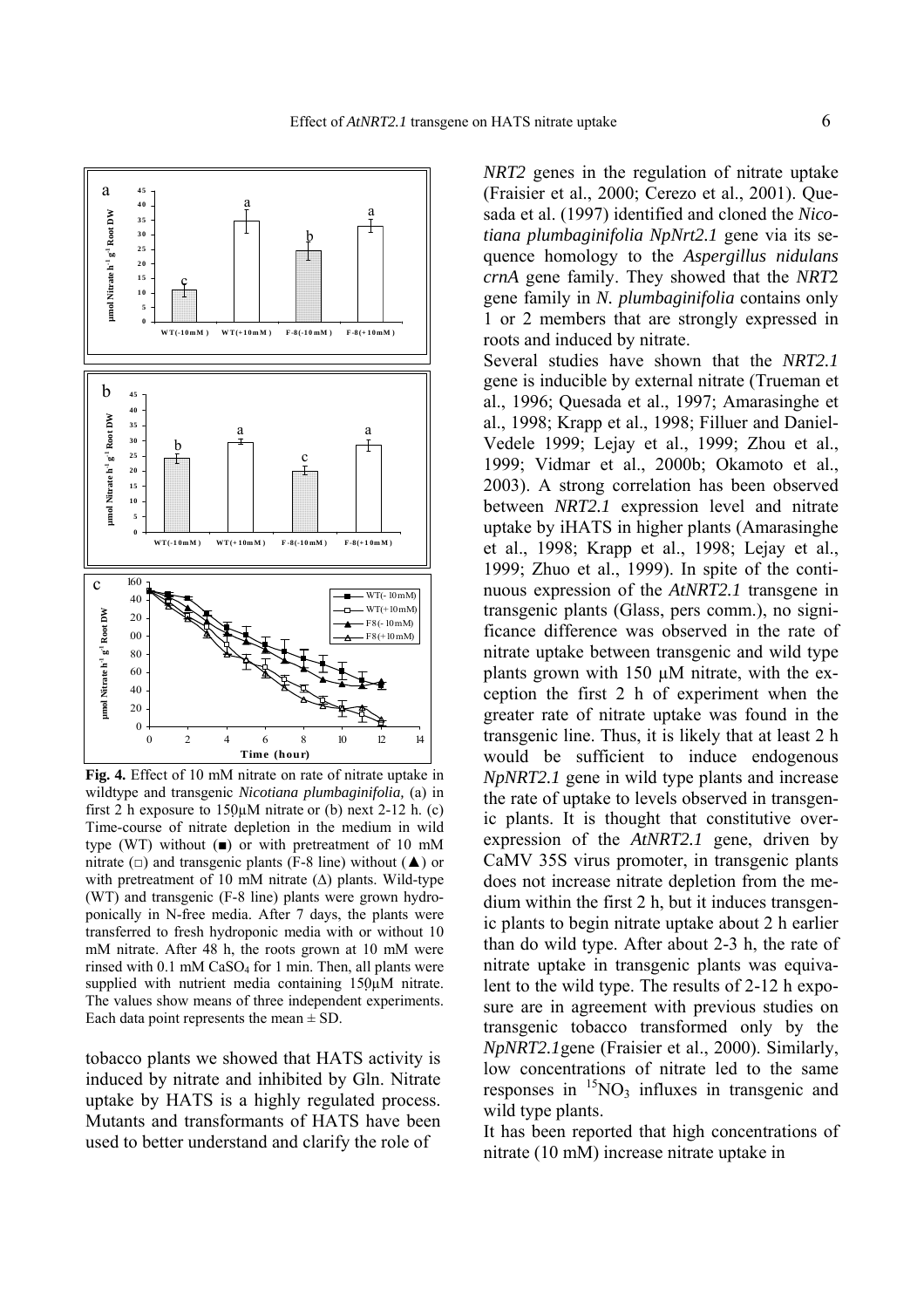

**Fig. 4.** Effect of 10 mM nitrate on rate of nitrate uptake in wildtype and transgenic *Nicotiana plumbaginifolia,* (a) in first 2 h exposure to  $150\mu$ M nitrate or (b) next 2-12 h. (c) Time-course of nitrate depletion in the medium in wild type (WT) without  $(\blacksquare)$  or with pretreatment of 10 mM nitrate ( $\Box$ ) and transgenic plants (F-8 line) without ( $\triangle$ ) or with pretreatment of 10 mM nitrate  $(\Delta)$  plants. Wild-type (WT) and transgenic (F-8 line) plants were grown hydroponically in N-free media. After 7 days, the plants were transferred to fresh hydroponic media with or without 10 mM nitrate. After 48 h, the roots grown at 10 mM were rinsed with  $0.1 \text{ mM } CaSO_4$  for 1 min. Then, all plants were supplied with nutrient media containing 150µM nitrate. The values show means of three independent experiments. Each data point represents the mean  $\pm$  SD.

tobacco plants we showed that HATS activity is induced by nitrate and inhibited by Gln. Nitrate uptake by HATS is a highly regulated process. Mutants and transformants of HATS have been used to better understand and clarify the role of

*NRT2* genes in the regulation of nitrate uptake (Fraisier et al., 2000; Cerezo et al., 2001). Quesada et al. (1997) identified and cloned the *Nicotiana plumbaginifolia NpNrt2.1* gene via its sequence homology to the *Aspergillus nidulans crnA* gene family. They showed that the *NRT*2 gene family in *N. plumbaginifolia* contains only 1 or 2 members that are strongly expressed in roots and induced by nitrate. Several studies have shown that the *NRT2.1* gene is inducible by external nitrate (Trueman et al., 1996; Quesada et al., 1997; Amarasinghe et al., 1998; Krapp et al., 1998; Filluer and Daniel-Vedele 1999; Lejay et al., 1999; Zhou et al., 1999; Vidmar et al., 2000b; Okamoto et al., 2003). A strong correlation has been observed between *NRT2.1* expression level and nitrate uptake by iHATS in higher plants (Amarasinghe et al., 1998; Krapp et al., 1998; Lejay et al., 1999; Zhuo et al., 1999). In spite of the continuous expression of the *AtNRT2.1* transgene in transgenic plants (Glass, pers comm.), no significance difference was observed in the rate of nitrate uptake between transgenic and wild type plants grown with 150 µM nitrate, with the exception the first 2 h of experiment when the greater rate of nitrate uptake was found in the transgenic line. Thus, it is likely that at least 2 h would be sufficient to induce endogenous *NpNRT2.1* gene in wild type plants and increase the rate of uptake to levels observed in transgenic plants. It is thought that constitutive overexpression of the *AtNRT2.1* gene, driven by CaMV 35S virus promoter, in transgenic plants does not increase nitrate depletion from the medium within the first 2 h, but it induces transgenic plants to begin nitrate uptake about 2 h earlier than do wild type. After about 2-3 h, the rate of nitrate uptake in transgenic plants was equivalent to the wild type. The results of 2-12 h exposure are in agreement with previous studies on transgenic tobacco transformed only by the *NpNRT2.1*gene (Fraisier et al., 2000). Similarly, low concentrations of nitrate led to the same responses in  ${}^{15}NO_3$  influxes in transgenic and wild type plants.

It has been reported that high concentrations of nitrate (10 mM) increase nitrate uptake in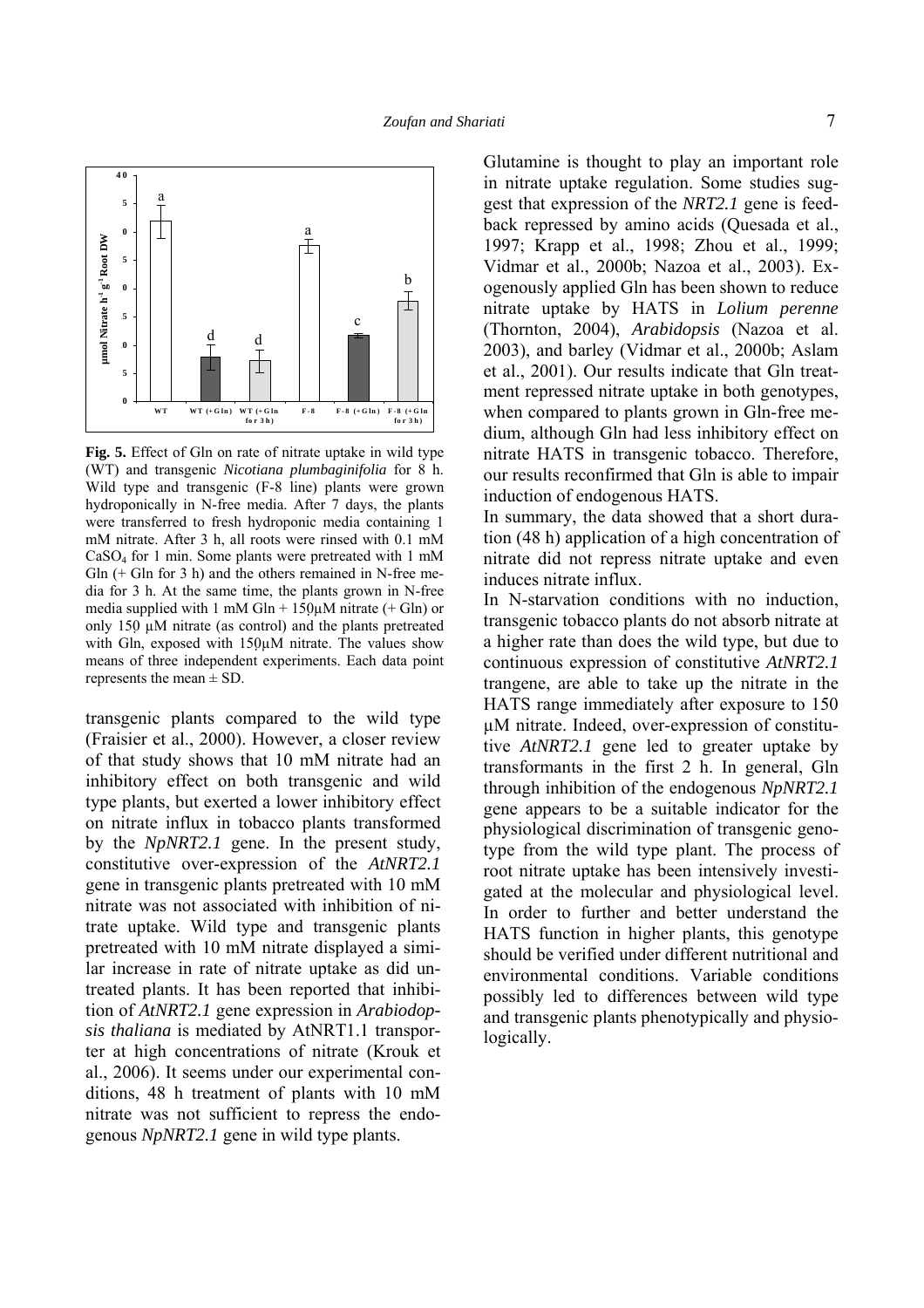

**Fig. 5.** Effect of Gln on rate of nitrate uptake in wild type (WT) and transgenic *Nicotiana plumbaginifolia* for 8 h. Wild type and transgenic (F-8 line) plants were grown hydroponically in N-free media. After 7 days, the plants were transferred to fresh hydroponic media containing 1 mM nitrate. After 3 h, all roots were rinsed with 0.1 mM CaSO4 for 1 min. Some plants were pretreated with 1 mM  $G\ln$  (+  $G\ln$  for 3 h) and the others remained in N-free media for 3 h. At the same time, the plants grown in N-free media supplied with 1 mM Gln +  $150\mu$ M nitrate (+ Gln) or only 150  $\mu$ M nitrate (as control) and the plants pretreated with Gln, exposed with  $150\mu$ M nitrate. The values show means of three independent experiments. Each data point represents the mean  $\pm$  SD.

transgenic plants compared to the wild type (Fraisier et al., 2000). However, a closer review of that study shows that 10 mM nitrate had an inhibitory effect on both transgenic and wild type plants, but exerted a lower inhibitory effect on nitrate influx in tobacco plants transformed by the *NpNRT2.1* gene. In the present study, constitutive over-expression of the *AtNRT2.1* gene in transgenic plants pretreated with 10 mM nitrate was not associated with inhibition of nitrate uptake. Wild type and transgenic plants pretreated with 10 mM nitrate displayed a similar increase in rate of nitrate uptake as did untreated plants. It has been reported that inhibition of *AtNRT2.1* gene expression in *Arabiodopsis thaliana* is mediated by AtNRT1.1 transporter at high concentrations of nitrate (Krouk et al., 2006). It seems under our experimental conditions, 48 h treatment of plants with 10 mM nitrate was not sufficient to repress the endogenous *NpNRT2.1* gene in wild type plants.

Glutamine is thought to play an important role in nitrate uptake regulation. Some studies suggest that expression of the *NRT2.1* gene is feedback repressed by amino acids (Quesada et al., 1997; Krapp et al., 1998; Zhou et al., 1999; Vidmar et al., 2000b; Nazoa et al., 2003). Exogenously applied Gln has been shown to reduce nitrate uptake by HATS in *Lolium perenne* (Thornton, 2004), *Arabidopsis* (Nazoa et al. 2003), and barley (Vidmar et al., 2000b; Aslam et al., 2001). Our results indicate that Gln treatment repressed nitrate uptake in both genotypes, when compared to plants grown in Gln-free medium, although Gln had less inhibitory effect on nitrate HATS in transgenic tobacco. Therefore, our results reconfirmed that Gln is able to impair induction of endogenous HATS.

In summary, the data showed that a short duration (48 h) application of a high concentration of nitrate did not repress nitrate uptake and even induces nitrate influx.

In N-starvation conditions with no induction, transgenic tobacco plants do not absorb nitrate at a higher rate than does the wild type, but due to continuous expression of constitutive *AtNRT2.1* trangene, are able to take up the nitrate in the HATS range immediately after exposure to 150 µM nitrate. Indeed, over-expression of constitutive *AtNRT2.1* gene led to greater uptake by transformants in the first 2 h. In general, Gln through inhibition of the endogenous *NpNRT2.1* gene appears to be a suitable indicator for the physiological discrimination of transgenic genotype from the wild type plant. The process of root nitrate uptake has been intensively investigated at the molecular and physiological level. In order to further and better understand the HATS function in higher plants, this genotype should be verified under different nutritional and environmental conditions. Variable conditions possibly led to differences between wild type and transgenic plants phenotypically and physiologically.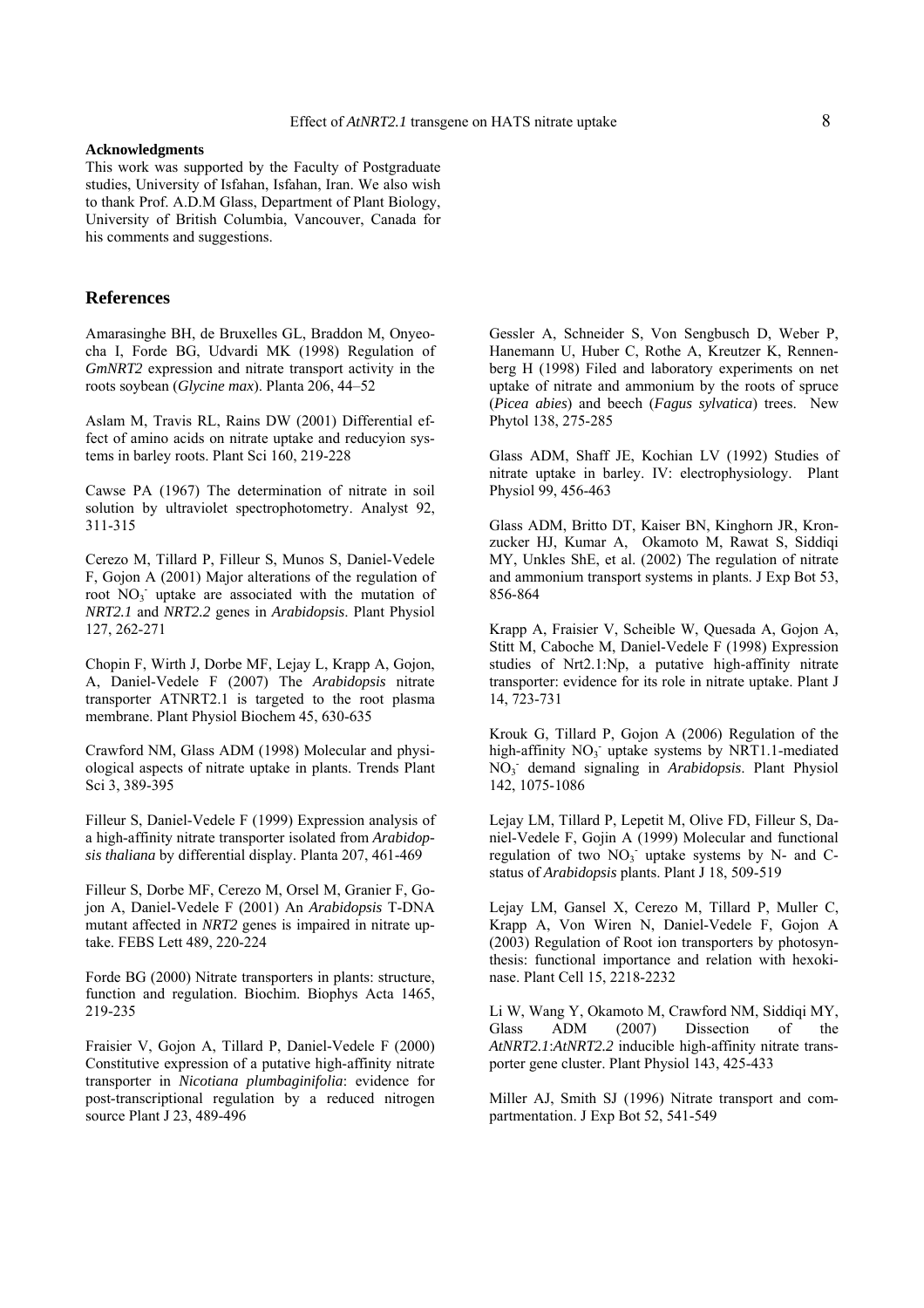#### **Acknowledgments**

This work was supported by the Faculty of Postgraduate studies, University of Isfahan, Isfahan, Iran. We also wish to thank Prof. A.D.M Glass, Department of Plant Biology, University of British Columbia, Vancouver, Canada for his comments and suggestions.

# **References**

Amarasinghe BH, de Bruxelles GL, Braddon M, Onyeocha I, Forde BG, Udvardi MK (1998) Regulation of *GmNRT2* expression and nitrate transport activity in the roots soybean (*Glycine max*). Planta 206, 44–52

Aslam M, Travis RL, Rains DW (2001) Differential effect of amino acids on nitrate uptake and reducyion systems in barley roots. Plant Sci 160, 219-228

Cawse PA (1967) The determination of nitrate in soil solution by ultraviolet spectrophotometry. Analyst 92, 311-315

Cerezo M, Tillard P, Filleur S, Munos S, Daniel-Vedele F, Gojon A (2001) Major alterations of the regulation of root  $NO<sub>3</sub>$  uptake are associated with the mutation of *NRT2.1* and *NRT2.2* genes in *Arabidopsis*. Plant Physiol 127, 262-271

Chopin F, Wirth J, Dorbe MF, Lejay L, Krapp A, Gojon, A, Daniel-Vedele F (2007) The *Arabidopsis* nitrate transporter ATNRT2.1 is targeted to the root plasma membrane. Plant Physiol Biochem 45, 630-635

Crawford NM, Glass ADM (1998) Molecular and physiological aspects of nitrate uptake in plants. Trends Plant Sci 3, 389-395

Filleur S, Daniel-Vedele F (1999) Expression analysis of a high-affinity nitrate transporter isolated from *Arabidopsis thaliana* by differential display. Planta 207, 461-469

Filleur S, Dorbe MF, Cerezo M, Orsel M, Granier F, Gojon A, Daniel-Vedele F (2001) An *Arabidopsis* T-DNA mutant affected in *NRT2* genes is impaired in nitrate uptake. FEBS Lett 489, 220-224

Forde BG (2000) Nitrate transporters in plants: structure, function and regulation. Biochim. Biophys Acta 1465, 219-235

Fraisier V, Gojon A, Tillard P, Daniel-Vedele F (2000) Constitutive expression of a putative high-affinity nitrate transporter in *Nicotiana plumbaginifolia*: evidence for post-transcriptional regulation by a reduced nitrogen source Plant J 23, 489-496

Gessler A, Schneider S, Von Sengbusch D, Weber P, Hanemann U, Huber C, Rothe A, Kreutzer K, Rennenberg H (1998) Filed and laboratory experiments on net uptake of nitrate and ammonium by the roots of spruce (*Picea abies*) and beech (*Fagus sylvatica*) trees. New Phytol 138, 275-285

Glass ADM, Shaff JE, Kochian LV (1992) Studies of nitrate uptake in barley. IV: electrophysiology. Plant Physiol 99, 456-463

Glass ADM, Britto DT, Kaiser BN, Kinghorn JR, Kronzucker HJ, Kumar A, Okamoto M, Rawat S, Siddiqi MY, Unkles ShE, et al. (2002) The regulation of nitrate and ammonium transport systems in plants. J Exp Bot 53, 856-864

Krapp A, Fraisier V, Scheible W, Quesada A, Gojon A, Stitt M, Caboche M, Daniel-Vedele F (1998) Expression studies of Nrt2.1:Np, a putative high-affinity nitrate transporter: evidence for its role in nitrate uptake. Plant J 14, 723-731

Krouk G, Tillard P, Gojon A (2006) Regulation of the high-affinity NO<sub>3</sub> uptake systems by NRT1.1-mediated NO3 - demand signaling in *Arabidopsis*. Plant Physiol 142, 1075-1086

Lejay LM, Tillard P, Lepetit M, Olive FD, Filleur S, Daniel-Vedele F, Gojin A (1999) Molecular and functional regulation of two  $NO_3$  uptake systems by N- and Cstatus of *Arabidopsis* plants. Plant J 18, 509-519

Lejay LM, Gansel X, Cerezo M, Tillard P, Muller C, Krapp A, Von Wiren N, Daniel-Vedele F, Gojon A (2003) Regulation of Root ion transporters by photosynthesis: functional importance and relation with hexokinase. Plant Cell 15, 2218-2232

Li W, Wang Y, Okamoto M, Crawford NM, Siddiqi MY, Glass ADM (2007) Dissection of the *AtNRT2.1*:*AtNRT2.2* inducible high-affinity nitrate transporter gene cluster. Plant Physiol 143, 425-433

Miller AJ, Smith SJ (1996) Nitrate transport and compartmentation. J Exp Bot 52, 541-549